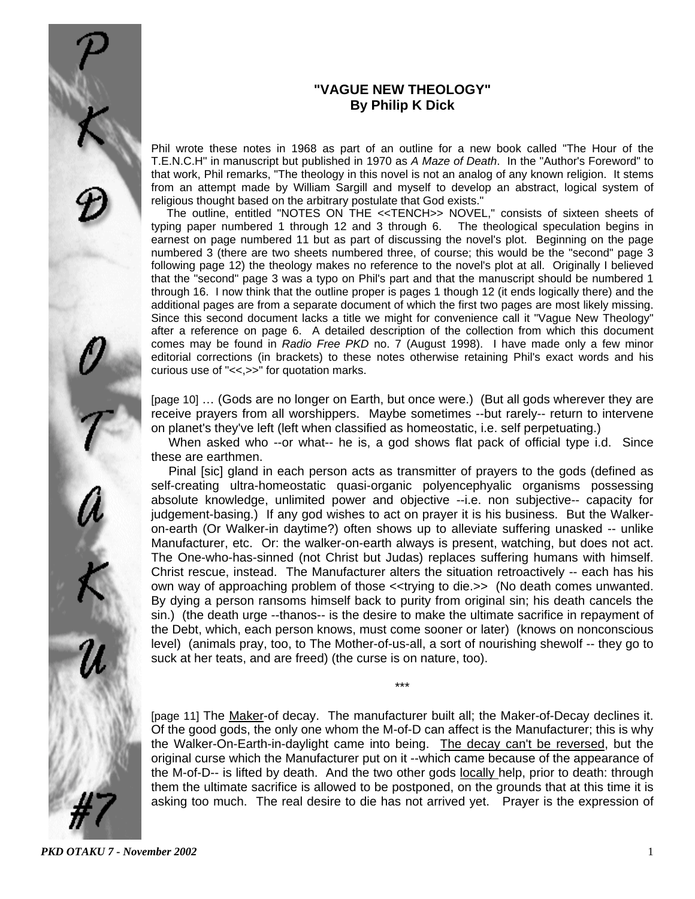# **"VAGUE NEW THEOLOGY" By Philip K Dick**

Phil wrote these notes in 1968 as part of an outline for a new book called "The Hour of the T.E.N.C.H" in manuscript but published in 1970 as *A Maze of Death*. In the "Author's Foreword" to that work, Phil remarks, "The theology in this novel is not an analog of any known religion. It stems from an attempt made by William Sargill and myself to develop an abstract, logical system of religious thought based on the arbitrary postulate that God exists."

 The outline, entitled "NOTES ON THE <<TENCH>> NOVEL," consists of sixteen sheets of typing paper numbered 1 through 12 and 3 through 6. The theological speculation begins in earnest on page numbered 11 but as part of discussing the novel's plot. Beginning on the page numbered 3 (there are two sheets numbered three, of course; this would be the "second" page 3 following page 12) the theology makes no reference to the novel's plot at all. Originally I believed that the "second" page 3 was a typo on Phil's part and that the manuscript should be numbered 1 through 16. I now think that the outline proper is pages 1 though 12 (it ends logically there) and the additional pages are from a separate document of which the first two pages are most likely missing. Since this second document lacks a title we might for convenience call it "Vague New Theology" after a reference on page 6. A detailed description of the collection from which this document comes may be found in *Radio Free PKD* no. 7 (August 1998). I have made only a few minor editorial corrections (in brackets) to these notes otherwise retaining Phil's exact words and his curious use of "<<,>>" for quotation marks.

[page 10] ... (Gods are no longer on Earth, but once were.) (But all gods wherever they are receive prayers from all worshippers. Maybe sometimes --but rarely-- return to intervene on planet's they've left (left when classified as homeostatic, i.e. self perpetuating.)

 When asked who --or what-- he is, a god shows flat pack of official type i.d. Since these are earthmen.

 Pinal [sic] gland in each person acts as transmitter of prayers to the gods (defined as self-creating ultra-homeostatic quasi-organic polyencephyalic organisms possessing absolute knowledge, unlimited power and objective --i.e. non subjective-- capacity for judgement-basing.) If any god wishes to act on prayer it is his business. But the Walkeron-earth (Or Walker-in daytime?) often shows up to alleviate suffering unasked -- unlike Manufacturer, etc. Or: the walker-on-earth always is present, watching, but does not act. The One-who-has-sinned (not Christ but Judas) replaces suffering humans with himself. Christ rescue, instead. The Manufacturer alters the situation retroactively -- each has his own way of approaching problem of those <<trying to die.>> (No death comes unwanted. By dying a person ransoms himself back to purity from original sin; his death cancels the sin.) (the death urge --thanos-- is the desire to make the ultimate sacrifice in repayment of the Debt, which, each person knows, must come sooner or later) (knows on nonconscious level) (animals pray, too, to The Mother-of-us-all, a sort of nourishing shewolf -- they go to suck at her teats, and are freed) (the curse is on nature, too).

[page 11] The Maker-of decay. The manufacturer built all; the Maker-of-Decay declines it. Of the good gods, the only one whom the M-of-D can affect is the Manufacturer; this is why the Walker-On-Earth-in-daylight came into being. The decay can't be reversed, but the original curse which the Manufacturer put on it --which came because of the appearance of the M-of-D-- is lifted by death. And the two other gods locally help, prior to death: through them the ultimate sacrifice is allowed to be postponed, on the grounds that at this time it is asking too much. The real desire to die has not arrived yet. Prayer is the expression of

\*\*\*

*PKD OTAKU 7 - November 2002* 1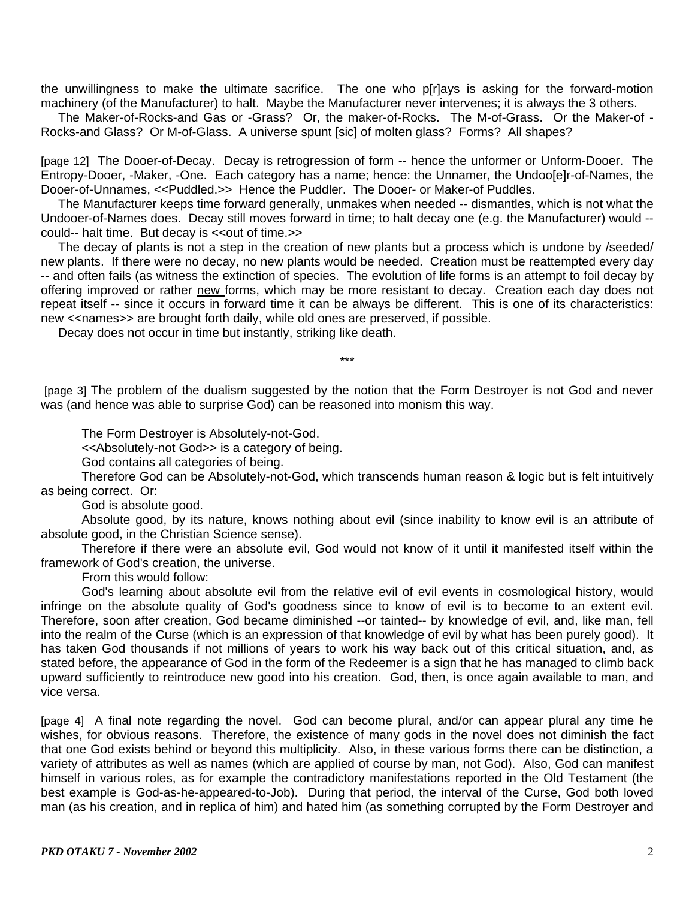the unwillingness to make the ultimate sacrifice. The one who p[r]ays is asking for the forward-motion machinery (of the Manufacturer) to halt. Maybe the Manufacturer never intervenes; it is always the 3 others.

 The Maker-of-Rocks-and Gas or -Grass? Or, the maker-of-Rocks. The M-of-Grass. Or the Maker-of - Rocks-and Glass? Or M-of-Glass. A universe spunt [sic] of molten glass? Forms? All shapes?

[page 12] The Dooer-of-Decay. Decay is retrogression of form -- hence the unformer or Unform-Dooer. The Entropy-Dooer, -Maker, -One. Each category has a name; hence: the Unnamer, the Undoo[e]r-of-Names, the Dooer-of-Unnames, <<Puddled.>> Hence the Puddler. The Dooer- or Maker-of Puddles.

 The Manufacturer keeps time forward generally, unmakes when needed -- dismantles, which is not what the Undooer-of-Names does. Decay still moves forward in time; to halt decay one (e.g. the Manufacturer) would - could-- halt time. But decay is << out of time.>>

 The decay of plants is not a step in the creation of new plants but a process which is undone by /seeded/ new plants. If there were no decay, no new plants would be needed. Creation must be reattempted every day -- and often fails (as witness the extinction of species. The evolution of life forms is an attempt to foil decay by offering improved or rather new forms, which may be more resistant to decay. Creation each day does not repeat itself -- since it occurs in forward time it can be always be different. This is one of its characteristics: new <<names>> are brought forth daily, while old ones are preserved, if possible.

Decay does not occur in time but instantly, striking like death.

\*\*\*

[page 3] The problem of the dualism suggested by the notion that the Form Destroyer is not God and never was (and hence was able to surprise God) can be reasoned into monism this way.

The Form Destroyer is Absolutely-not-God.

<<Absolutely-not God>> is a category of being.

God contains all categories of being.

 Therefore God can be Absolutely-not-God, which transcends human reason & logic but is felt intuitively as being correct. Or:

God is absolute good.

 Absolute good, by its nature, knows nothing about evil (since inability to know evil is an attribute of absolute good, in the Christian Science sense).

 Therefore if there were an absolute evil, God would not know of it until it manifested itself within the framework of God's creation, the universe.

From this would follow:

 God's learning about absolute evil from the relative evil of evil events in cosmological history, would infringe on the absolute quality of God's goodness since to know of evil is to become to an extent evil. Therefore, soon after creation, God became diminished --or tainted-- by knowledge of evil, and, like man, fell into the realm of the Curse (which is an expression of that knowledge of evil by what has been purely good). It has taken God thousands if not millions of years to work his way back out of this critical situation, and, as stated before, the appearance of God in the form of the Redeemer is a sign that he has managed to climb back upward sufficiently to reintroduce new good into his creation. God, then, is once again available to man, and vice versa.

[page 4] A final note regarding the novel. God can become plural, and/or can appear plural any time he wishes, for obvious reasons. Therefore, the existence of many gods in the novel does not diminish the fact that one God exists behind or beyond this multiplicity. Also, in these various forms there can be distinction, a variety of attributes as well as names (which are applied of course by man, not God). Also, God can manifest himself in various roles, as for example the contradictory manifestations reported in the Old Testament (the best example is God-as-he-appeared-to-Job). During that period, the interval of the Curse, God both loved man (as his creation, and in replica of him) and hated him (as something corrupted by the Form Destroyer and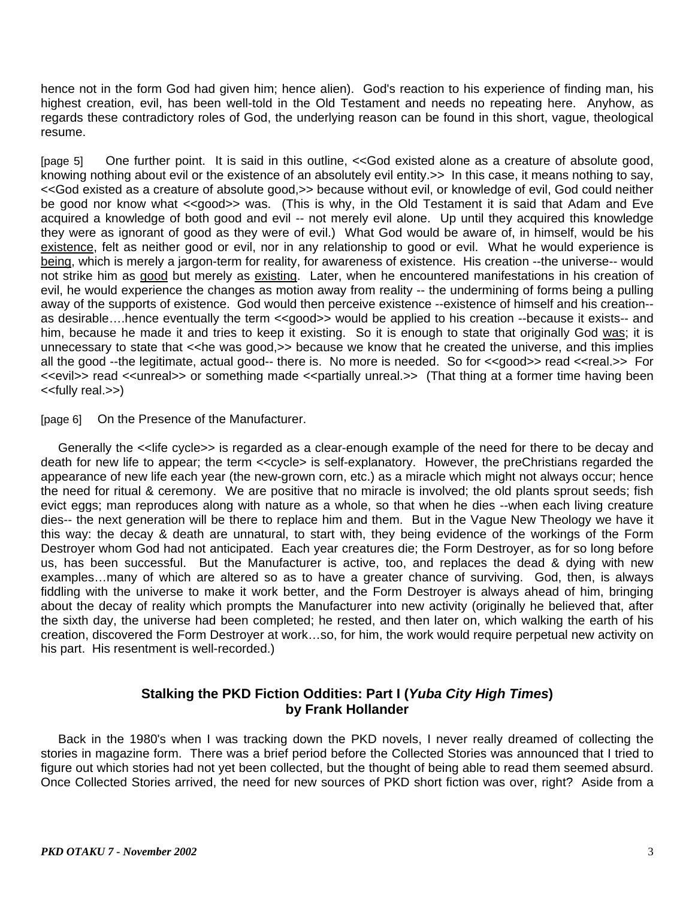hence not in the form God had given him; hence alien). God's reaction to his experience of finding man, his highest creation, evil, has been well-told in the Old Testament and needs no repeating here. Anyhow, as regards these contradictory roles of God, the underlying reason can be found in this short, vague, theological resume.

[page 5] One further point. It is said in this outline, <<God existed alone as a creature of absolute good, knowing nothing about evil or the existence of an absolutely evil entity.>> In this case, it means nothing to say, <<God existed as a creature of absolute good,>> because without evil, or knowledge of evil, God could neither be good nor know what <<good>> was. (This is why, in the Old Testament it is said that Adam and Eve acquired a knowledge of both good and evil -- not merely evil alone. Up until they acquired this knowledge they were as ignorant of good as they were of evil.) What God would be aware of, in himself, would be his existence, felt as neither good or evil, nor in any relationship to good or evil. What he would experience is being, which is merely a jargon-term for reality, for awareness of existence. His creation --the universe-- would not strike him as good but merely as existing. Later, when he encountered manifestations in his creation of evil, he would experience the changes as motion away from reality -- the undermining of forms being a pulling away of the supports of existence. God would then perceive existence --existence of himself and his creation- as desirable….hence eventually the term <<good>> would be applied to his creation --because it exists-- and him, because he made it and tries to keep it existing. So it is enough to state that originally God was; it is unnecessary to state that << he was good,>> because we know that he created the universe, and this implies all the good --the legitimate, actual good-- there is. No more is needed. So for <<good>> read <<real.>> For <<evil>> read <<unreal>> or something made <<partially unreal.>> (That thing at a former time having been <<fully real.>>)

[page 6] On the Presence of the Manufacturer.

 Generally the <<life cycle>> is regarded as a clear-enough example of the need for there to be decay and death for new life to appear; the term <<cycle> is self-explanatory. However, the preChristians regarded the appearance of new life each year (the new-grown corn, etc.) as a miracle which might not always occur; hence the need for ritual & ceremony. We are positive that no miracle is involved; the old plants sprout seeds; fish evict eggs; man reproduces along with nature as a whole, so that when he dies --when each living creature dies-- the next generation will be there to replace him and them. But in the Vague New Theology we have it this way: the decay & death are unnatural, to start with, they being evidence of the workings of the Form Destroyer whom God had not anticipated. Each year creatures die; the Form Destroyer, as for so long before us, has been successful. But the Manufacturer is active, too, and replaces the dead & dying with new examples…many of which are altered so as to have a greater chance of surviving. God, then, is always fiddling with the universe to make it work better, and the Form Destroyer is always ahead of him, bringing about the decay of reality which prompts the Manufacturer into new activity (originally he believed that, after the sixth day, the universe had been completed; he rested, and then later on, which walking the earth of his creation, discovered the Form Destroyer at work…so, for him, the work would require perpetual new activity on his part. His resentment is well-recorded.)

## **Stalking the PKD Fiction Oddities: Part I (***Yuba City High Times***) by Frank Hollander**

 Back in the 1980's when I was tracking down the PKD novels, I never really dreamed of collecting the stories in magazine form. There was a brief period before the Collected Stories was announced that I tried to figure out which stories had not yet been collected, but the thought of being able to read them seemed absurd. Once Collected Stories arrived, the need for new sources of PKD short fiction was over, right? Aside from a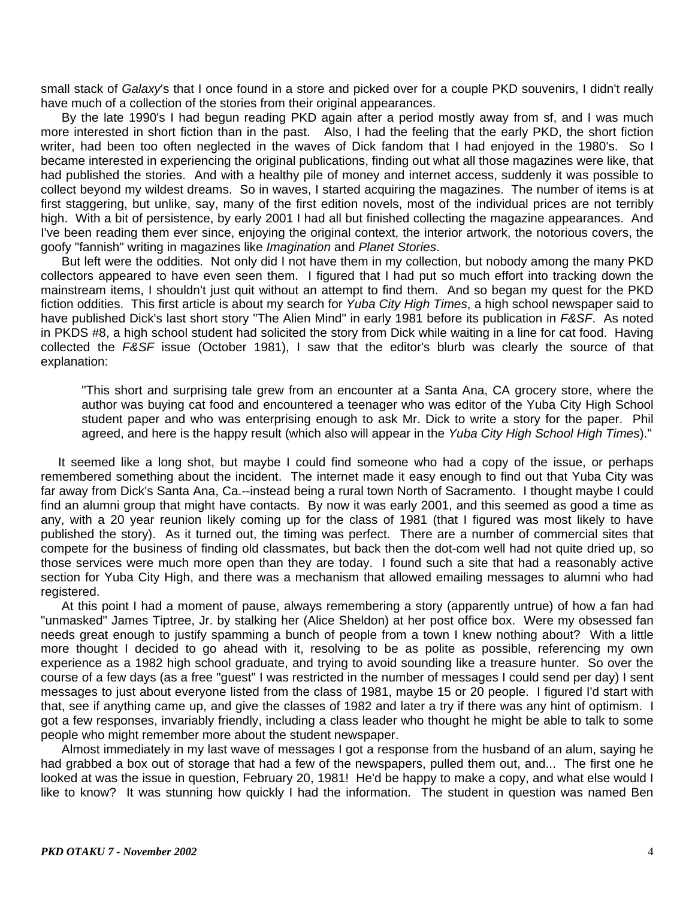small stack of *Galaxy*'s that I once found in a store and picked over for a couple PKD souvenirs, I didn't really have much of a collection of the stories from their original appearances.

 By the late 1990's I had begun reading PKD again after a period mostly away from sf, and I was much more interested in short fiction than in the past. Also, I had the feeling that the early PKD, the short fiction writer, had been too often neglected in the waves of Dick fandom that I had enjoyed in the 1980's. So I became interested in experiencing the original publications, finding out what all those magazines were like, that had published the stories. And with a healthy pile of money and internet access, suddenly it was possible to collect beyond my wildest dreams. So in waves, I started acquiring the magazines. The number of items is at first staggering, but unlike, say, many of the first edition novels, most of the individual prices are not terribly high. With a bit of persistence, by early 2001 I had all but finished collecting the magazine appearances. And I've been reading them ever since, enjoying the original context, the interior artwork, the notorious covers, the goofy "fannish" writing in magazines like *Imagination* and *Planet Stories*.

 But left were the oddities. Not only did I not have them in my collection, but nobody among the many PKD collectors appeared to have even seen them. I figured that I had put so much effort into tracking down the mainstream items, I shouldn't just quit without an attempt to find them. And so began my quest for the PKD fiction oddities. This first article is about my search for *Yuba City High Times*, a high school newspaper said to have published Dick's last short story "The Alien Mind" in early 1981 before its publication in *F&SF*. As noted in PKDS #8, a high school student had solicited the story from Dick while waiting in a line for cat food. Having collected the *F&SF* issue (October 1981), I saw that the editor's blurb was clearly the source of that explanation:

"This short and surprising tale grew from an encounter at a Santa Ana, CA grocery store, where the author was buying cat food and encountered a teenager who was editor of the Yuba City High School student paper and who was enterprising enough to ask Mr. Dick to write a story for the paper. Phil agreed, and here is the happy result (which also will appear in the *Yuba City High School High Times*)."

 It seemed like a long shot, but maybe I could find someone who had a copy of the issue, or perhaps remembered something about the incident. The internet made it easy enough to find out that Yuba City was far away from Dick's Santa Ana, Ca.--instead being a rural town North of Sacramento. I thought maybe I could find an alumni group that might have contacts. By now it was early 2001, and this seemed as good a time as any, with a 20 year reunion likely coming up for the class of 1981 (that I figured was most likely to have published the story). As it turned out, the timing was perfect. There are a number of commercial sites that compete for the business of finding old classmates, but back then the dot-com well had not quite dried up, so those services were much more open than they are today. I found such a site that had a reasonably active section for Yuba City High, and there was a mechanism that allowed emailing messages to alumni who had registered.

 At this point I had a moment of pause, always remembering a story (apparently untrue) of how a fan had "unmasked" James Tiptree, Jr. by stalking her (Alice Sheldon) at her post office box. Were my obsessed fan needs great enough to justify spamming a bunch of people from a town I knew nothing about? With a little more thought I decided to go ahead with it, resolving to be as polite as possible, referencing my own experience as a 1982 high school graduate, and trying to avoid sounding like a treasure hunter. So over the course of a few days (as a free "guest" I was restricted in the number of messages I could send per day) I sent messages to just about everyone listed from the class of 1981, maybe 15 or 20 people. I figured I'd start with that, see if anything came up, and give the classes of 1982 and later a try if there was any hint of optimism. I got a few responses, invariably friendly, including a class leader who thought he might be able to talk to some people who might remember more about the student newspaper.

 Almost immediately in my last wave of messages I got a response from the husband of an alum, saying he had grabbed a box out of storage that had a few of the newspapers, pulled them out, and... The first one he looked at was the issue in question, February 20, 1981! He'd be happy to make a copy, and what else would I like to know? It was stunning how quickly I had the information. The student in question was named Ben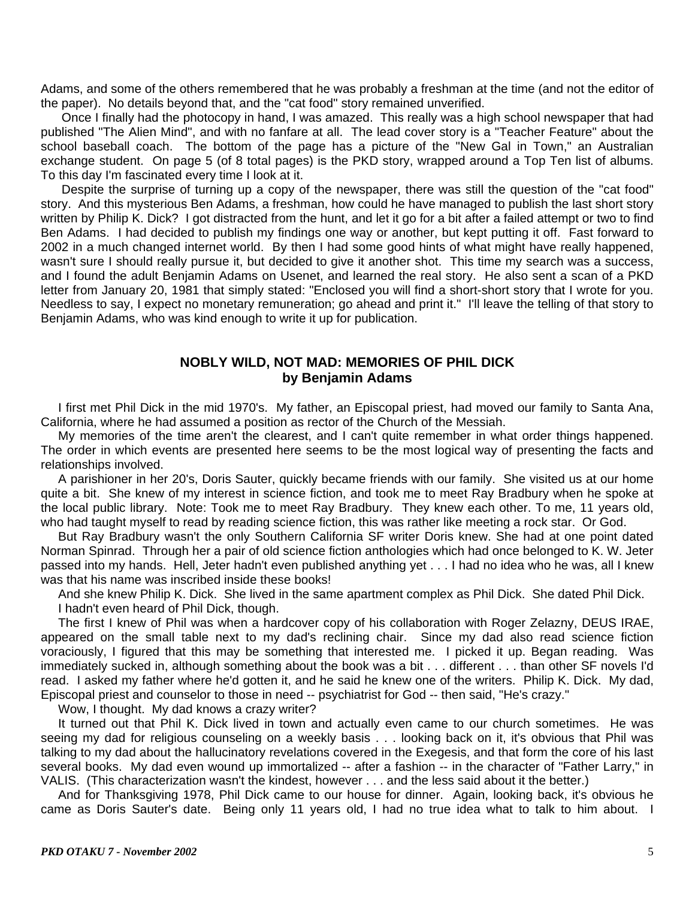Adams, and some of the others remembered that he was probably a freshman at the time (and not the editor of the paper). No details beyond that, and the "cat food" story remained unverified.

 Once I finally had the photocopy in hand, I was amazed. This really was a high school newspaper that had published "The Alien Mind", and with no fanfare at all. The lead cover story is a "Teacher Feature" about the school baseball coach. The bottom of the page has a picture of the "New Gal in Town," an Australian exchange student. On page 5 (of 8 total pages) is the PKD story, wrapped around a Top Ten list of albums. To this day I'm fascinated every time I look at it.

 Despite the surprise of turning up a copy of the newspaper, there was still the question of the "cat food" story. And this mysterious Ben Adams, a freshman, how could he have managed to publish the last short story written by Philip K. Dick? I got distracted from the hunt, and let it go for a bit after a failed attempt or two to find Ben Adams. I had decided to publish my findings one way or another, but kept putting it off. Fast forward to 2002 in a much changed internet world. By then I had some good hints of what might have really happened, wasn't sure I should really pursue it, but decided to give it another shot. This time my search was a success, and I found the adult Benjamin Adams on Usenet, and learned the real story. He also sent a scan of a PKD letter from January 20, 1981 that simply stated: "Enclosed you will find a short-short story that I wrote for you. Needless to say, I expect no monetary remuneration; go ahead and print it." I'll leave the telling of that story to Benjamin Adams, who was kind enough to write it up for publication.

## **NOBLY WILD, NOT MAD: MEMORIES OF PHIL DICK by Benjamin Adams**

 I first met Phil Dick in the mid 1970's. My father, an Episcopal priest, had moved our family to Santa Ana, California, where he had assumed a position as rector of the Church of the Messiah.

 My memories of the time aren't the clearest, and I can't quite remember in what order things happened. The order in which events are presented here seems to be the most logical way of presenting the facts and relationships involved.

 A parishioner in her 20's, Doris Sauter, quickly became friends with our family. She visited us at our home quite a bit. She knew of my interest in science fiction, and took me to meet Ray Bradbury when he spoke at the local public library. Note: Took me to meet Ray Bradbury. They knew each other. To me, 11 years old, who had taught myself to read by reading science fiction, this was rather like meeting a rock star. Or God.

 But Ray Bradbury wasn't the only Southern California SF writer Doris knew. She had at one point dated Norman Spinrad. Through her a pair of old science fiction anthologies which had once belonged to K. W. Jeter passed into my hands. Hell, Jeter hadn't even published anything yet . . . I had no idea who he was, all I knew was that his name was inscribed inside these books!

 And she knew Philip K. Dick. She lived in the same apartment complex as Phil Dick. She dated Phil Dick. I hadn't even heard of Phil Dick, though.

 The first I knew of Phil was when a hardcover copy of his collaboration with Roger Zelazny, DEUS IRAE, appeared on the small table next to my dad's reclining chair. Since my dad also read science fiction voraciously, I figured that this may be something that interested me. I picked it up. Began reading. Was immediately sucked in, although something about the book was a bit . . . different . . . than other SF novels I'd read. I asked my father where he'd gotten it, and he said he knew one of the writers. Philip K. Dick. My dad, Episcopal priest and counselor to those in need -- psychiatrist for God -- then said, "He's crazy."

Wow, I thought. My dad knows a crazy writer?

 It turned out that Phil K. Dick lived in town and actually even came to our church sometimes. He was seeing my dad for religious counseling on a weekly basis . . . looking back on it, it's obvious that Phil was talking to my dad about the hallucinatory revelations covered in the Exegesis, and that form the core of his last several books. My dad even wound up immortalized -- after a fashion -- in the character of "Father Larry," in VALIS. (This characterization wasn't the kindest, however . . . and the less said about it the better.)

 And for Thanksgiving 1978, Phil Dick came to our house for dinner. Again, looking back, it's obvious he came as Doris Sauter's date. Being only 11 years old, I had no true idea what to talk to him about. I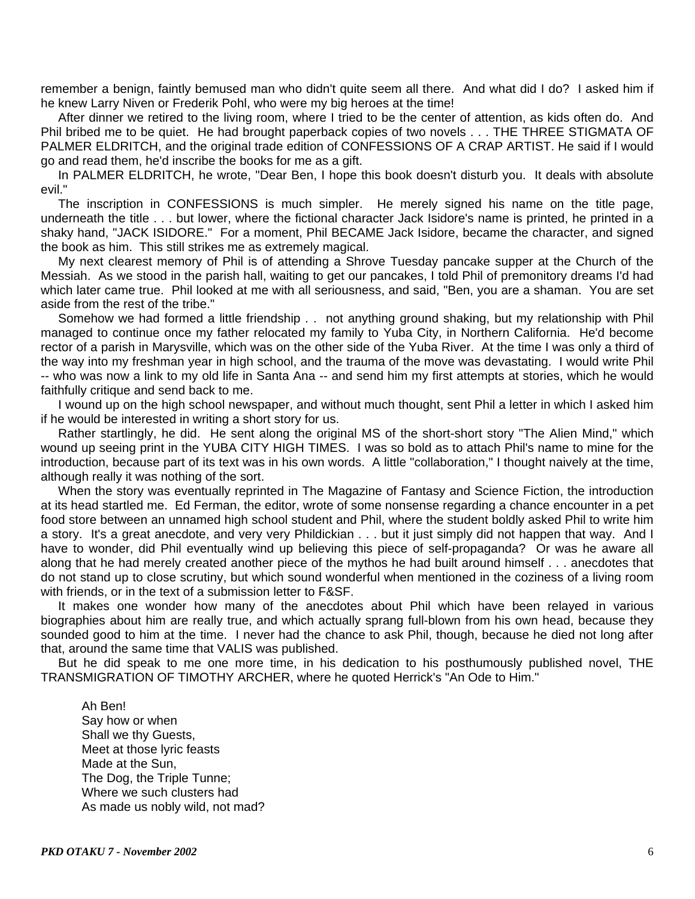remember a benign, faintly bemused man who didn't quite seem all there. And what did I do? I asked him if he knew Larry Niven or Frederik Pohl, who were my big heroes at the time!

 After dinner we retired to the living room, where I tried to be the center of attention, as kids often do. And Phil bribed me to be quiet. He had brought paperback copies of two novels . . . THE THREE STIGMATA OF PALMER ELDRITCH, and the original trade edition of CONFESSIONS OF A CRAP ARTIST. He said if I would go and read them, he'd inscribe the books for me as a gift.

 In PALMER ELDRITCH, he wrote, "Dear Ben, I hope this book doesn't disturb you. It deals with absolute evil."

 The inscription in CONFESSIONS is much simpler. He merely signed his name on the title page, underneath the title . . . but lower, where the fictional character Jack Isidore's name is printed, he printed in a shaky hand, "JACK ISIDORE." For a moment, Phil BECAME Jack Isidore, became the character, and signed the book as him. This still strikes me as extremely magical.

 My next clearest memory of Phil is of attending a Shrove Tuesday pancake supper at the Church of the Messiah. As we stood in the parish hall, waiting to get our pancakes, I told Phil of premonitory dreams I'd had which later came true. Phil looked at me with all seriousness, and said, "Ben, you are a shaman. You are set aside from the rest of the tribe."

 Somehow we had formed a little friendship . . not anything ground shaking, but my relationship with Phil managed to continue once my father relocated my family to Yuba City, in Northern California. He'd become rector of a parish in Marysville, which was on the other side of the Yuba River. At the time I was only a third of the way into my freshman year in high school, and the trauma of the move was devastating. I would write Phil -- who was now a link to my old life in Santa Ana -- and send him my first attempts at stories, which he would faithfully critique and send back to me.

 I wound up on the high school newspaper, and without much thought, sent Phil a letter in which I asked him if he would be interested in writing a short story for us.

 Rather startlingly, he did. He sent along the original MS of the short-short story "The Alien Mind," which wound up seeing print in the YUBA CITY HIGH TIMES. I was so bold as to attach Phil's name to mine for the introduction, because part of its text was in his own words. A little "collaboration," I thought naively at the time, although really it was nothing of the sort.

 When the story was eventually reprinted in The Magazine of Fantasy and Science Fiction, the introduction at its head startled me. Ed Ferman, the editor, wrote of some nonsense regarding a chance encounter in a pet food store between an unnamed high school student and Phil, where the student boldly asked Phil to write him a story. It's a great anecdote, and very very Phildickian . . . but it just simply did not happen that way. And I have to wonder, did Phil eventually wind up believing this piece of self-propaganda? Or was he aware all along that he had merely created another piece of the mythos he had built around himself . . . anecdotes that do not stand up to close scrutiny, but which sound wonderful when mentioned in the coziness of a living room with friends, or in the text of a submission letter to F&SF.

 It makes one wonder how many of the anecdotes about Phil which have been relayed in various biographies about him are really true, and which actually sprang full-blown from his own head, because they sounded good to him at the time. I never had the chance to ask Phil, though, because he died not long after that, around the same time that VALIS was published.

 But he did speak to me one more time, in his dedication to his posthumously published novel, THE TRANSMIGRATION OF TIMOTHY ARCHER, where he quoted Herrick's "An Ode to Him."

 Ah Ben! Say how or when Shall we thy Guests, Meet at those lyric feasts Made at the Sun, The Dog, the Triple Tunne; Where we such clusters had As made us nobly wild, not mad?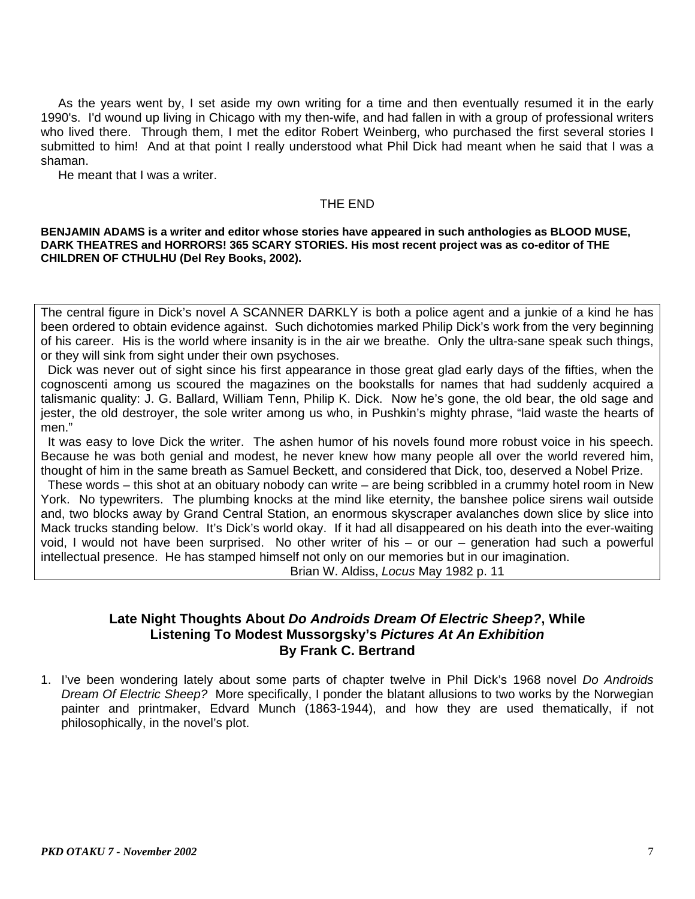As the years went by, I set aside my own writing for a time and then eventually resumed it in the early 1990's. I'd wound up living in Chicago with my then-wife, and had fallen in with a group of professional writers who lived there. Through them, I met the editor Robert Weinberg, who purchased the first several stories I submitted to him! And at that point I really understood what Phil Dick had meant when he said that I was a shaman.

He meant that I was a writer.

#### THE END

**BENJAMIN ADAMS is a writer and editor whose stories have appeared in such anthologies as BLOOD MUSE, DARK THEATRES and HORRORS! 365 SCARY STORIES. His most recent project was as co-editor of THE CHILDREN OF CTHULHU (Del Rey Books, 2002).** 

The central figure in Dick's novel A SCANNER DARKLY is both a police agent and a junkie of a kind he has been ordered to obtain evidence against. Such dichotomies marked Philip Dick's work from the very beginning of his career. His is the world where insanity is in the air we breathe. Only the ultra-sane speak such things, or they will sink from sight under their own psychoses.

 Dick was never out of sight since his first appearance in those great glad early days of the fifties, when the cognoscenti among us scoured the magazines on the bookstalls for names that had suddenly acquired a talismanic quality: J. G. Ballard, William Tenn, Philip K. Dick. Now he's gone, the old bear, the old sage and jester, the old destroyer, the sole writer among us who, in Pushkin's mighty phrase, "laid waste the hearts of men."

 It was easy to love Dick the writer. The ashen humor of his novels found more robust voice in his speech. Because he was both genial and modest, he never knew how many people all over the world revered him, thought of him in the same breath as Samuel Beckett, and considered that Dick, too, deserved a Nobel Prize.

 These words – this shot at an obituary nobody can write – are being scribbled in a crummy hotel room in New York. No typewriters. The plumbing knocks at the mind like eternity, the banshee police sirens wail outside and, two blocks away by Grand Central Station, an enormous skyscraper avalanches down slice by slice into Mack trucks standing below. It's Dick's world okay. If it had all disappeared on his death into the ever-waiting void, I would not have been surprised. No other writer of his – or our – generation had such a powerful intellectual presence. He has stamped himself not only on our memories but in our imagination.

Brian W. Aldiss, *Locus* May 1982 p. 11

## **Late Night Thoughts About** *Do Androids Dream Of Electric Sheep?***, While Listening To Modest Mussorgsky's** *Pictures At An Exhibition* **By Frank C. Bertrand**

1. I've been wondering lately about some parts of chapter twelve in Phil Dick's 1968 novel *Do Androids Dream Of Electric Sheep?* More specifically, I ponder the blatant allusions to two works by the Norwegian painter and printmaker, Edvard Munch (1863-1944), and how they are used thematically, if not philosophically, in the novel's plot.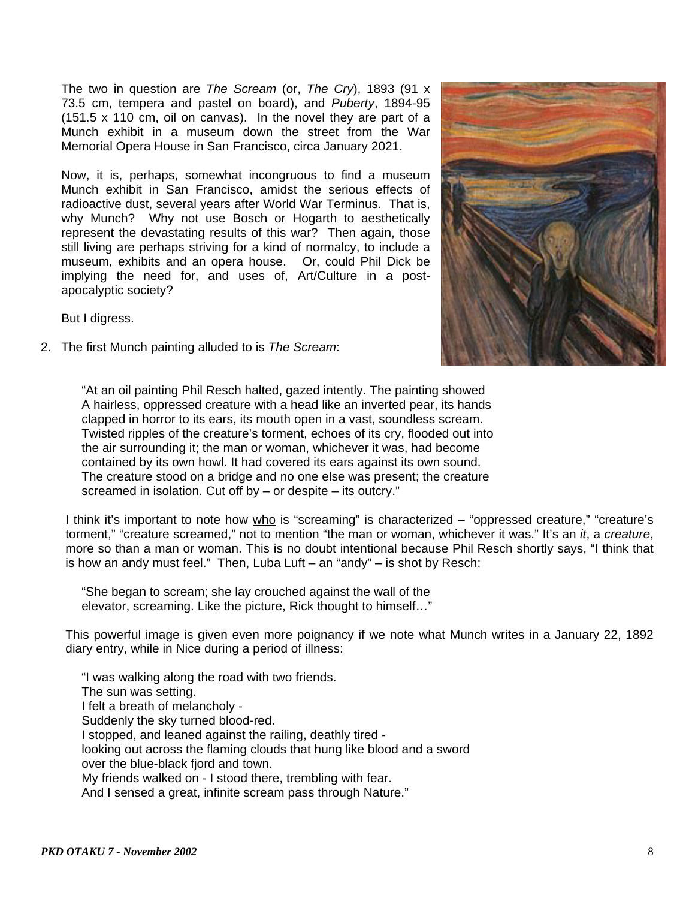The two in question are *The Scream* (or, *The Cry*), 1893 (91 x 73.5 cm, tempera and pastel on board), and *Puberty*, 1894-95 (151.5 x 110 cm, oil on canvas). In the novel they are part of a Munch exhibit in a museum down the street from the War Memorial Opera House in San Francisco, circa January 2021.

Now, it is, perhaps, somewhat incongruous to find a museum Munch exhibit in San Francisco, amidst the serious effects of radioactive dust, several years after World War Terminus. That is, why Munch? Why not use Bosch or Hogarth to aesthetically represent the devastating results of this war? Then again, those still living are perhaps striving for a kind of normalcy, to include a museum, exhibits and an opera house. Or, could Phil Dick be implying the need for, and uses of, Art/Culture in a postapocalyptic society?



But I digress.

2. The first Munch painting alluded to is *The Scream*:

"At an oil painting Phil Resch halted, gazed intently. The painting showed A hairless, oppressed creature with a head like an inverted pear, its hands clapped in horror to its ears, its mouth open in a vast, soundless scream. Twisted ripples of the creature's torment, echoes of its cry, flooded out into the air surrounding it; the man or woman, whichever it was, had become contained by its own howl. It had covered its ears against its own sound. The creature stood on a bridge and no one else was present; the creature screamed in isolation. Cut off by – or despite – its outcry."

I think it's important to note how who is "screaming" is characterized – "oppressed creature," "creature's torment," "creature screamed," not to mention "the man or woman, whichever it was." It's an *it*, a *creature*, more so than a man or woman. This is no doubt intentional because Phil Resch shortly says, "I think that is how an andy must feel." Then, Luba Luft – an "andy" – is shot by Resch:

 "She began to scream; she lay crouched against the wall of the elevator, screaming. Like the picture, Rick thought to himself…"

This powerful image is given even more poignancy if we note what Munch writes in a January 22, 1892 diary entry, while in Nice during a period of illness:

 "I was walking along the road with two friends. The sun was setting. I felt a breath of melancholy - Suddenly the sky turned blood-red. I stopped, and leaned against the railing, deathly tired looking out across the flaming clouds that hung like blood and a sword over the blue-black fjord and town. My friends walked on - I stood there, trembling with fear. And I sensed a great, infinite scream pass through Nature."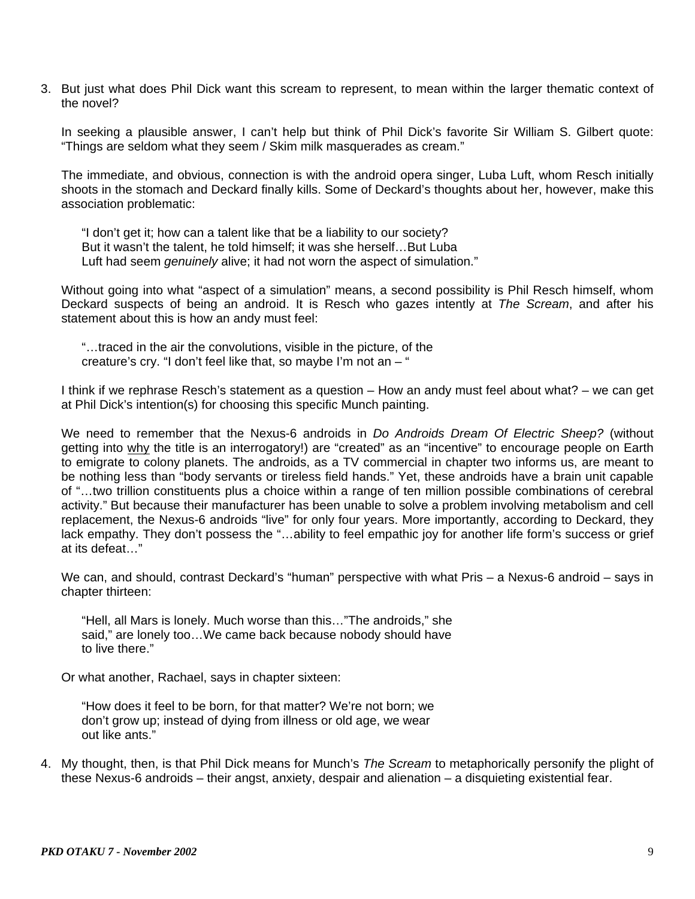3. But just what does Phil Dick want this scream to represent, to mean within the larger thematic context of the novel?

In seeking a plausible answer, I can't help but think of Phil Dick's favorite Sir William S. Gilbert quote: "Things are seldom what they seem / Skim milk masquerades as cream."

The immediate, and obvious, connection is with the android opera singer, Luba Luft, whom Resch initially shoots in the stomach and Deckard finally kills. Some of Deckard's thoughts about her, however, make this association problematic:

 "I don't get it; how can a talent like that be a liability to our society? But it wasn't the talent, he told himself; it was she herself…But Luba Luft had seem *genuinely* alive; it had not worn the aspect of simulation."

Without going into what "aspect of a simulation" means, a second possibility is Phil Resch himself, whom Deckard suspects of being an android. It is Resch who gazes intently at *The Scream*, and after his statement about this is how an andy must feel:

 "…traced in the air the convolutions, visible in the picture, of the creature's cry. "I don't feel like that, so maybe I'm not an – "

I think if we rephrase Resch's statement as a question – How an andy must feel about what? – we can get at Phil Dick's intention(s) for choosing this specific Munch painting.

We need to remember that the Nexus-6 androids in *Do Androids Dream Of Electric Sheep?* (without getting into why the title is an interrogatory!) are "created" as an "incentive" to encourage people on Earth to emigrate to colony planets. The androids, as a TV commercial in chapter two informs us, are meant to be nothing less than "body servants or tireless field hands." Yet, these androids have a brain unit capable of "…two trillion constituents plus a choice within a range of ten million possible combinations of cerebral activity." But because their manufacturer has been unable to solve a problem involving metabolism and cell replacement, the Nexus-6 androids "live" for only four years. More importantly, according to Deckard, they lack empathy. They don't possess the "…ability to feel empathic joy for another life form's success or grief at its defeat…"

We can, and should, contrast Deckard's "human" perspective with what Pris – a Nexus-6 android – says in chapter thirteen:

 "Hell, all Mars is lonely. Much worse than this…"The androids," she said," are lonely too…We came back because nobody should have to live there."

Or what another, Rachael, says in chapter sixteen:

 "How does it feel to be born, for that matter? We're not born; we don't grow up; instead of dying from illness or old age, we wear out like ants."

4. My thought, then, is that Phil Dick means for Munch's *The Scream* to metaphorically personify the plight of these Nexus-6 androids – their angst, anxiety, despair and alienation – a disquieting existential fear.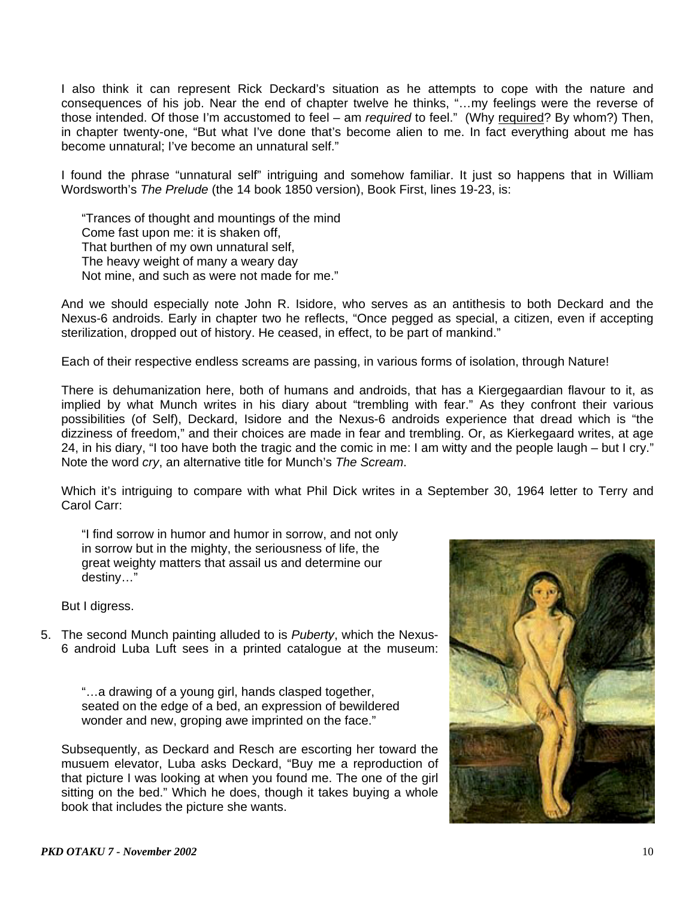I also think it can represent Rick Deckard's situation as he attempts to cope with the nature and consequences of his job. Near the end of chapter twelve he thinks, "…my feelings were the reverse of those intended. Of those I'm accustomed to feel – am *required* to feel." (Why required? By whom?) Then, in chapter twenty-one, "But what I've done that's become alien to me. In fact everything about me has become unnatural; I've become an unnatural self."

I found the phrase "unnatural self" intriguing and somehow familiar. It just so happens that in William Wordsworth's *The Prelude* (the 14 book 1850 version), Book First, lines 19-23, is:

 "Trances of thought and mountings of the mind Come fast upon me: it is shaken off, That burthen of my own unnatural self, The heavy weight of many a weary day Not mine, and such as were not made for me."

And we should especially note John R. Isidore, who serves as an antithesis to both Deckard and the Nexus-6 androids. Early in chapter two he reflects, "Once pegged as special, a citizen, even if accepting sterilization, dropped out of history. He ceased, in effect, to be part of mankind."

Each of their respective endless screams are passing, in various forms of isolation, through Nature!

There is dehumanization here, both of humans and androids, that has a Kiergegaardian flavour to it, as implied by what Munch writes in his diary about "trembling with fear." As they confront their various possibilities (of Self), Deckard, Isidore and the Nexus-6 androids experience that dread which is "the dizziness of freedom," and their choices are made in fear and trembling. Or, as Kierkegaard writes, at age 24, in his diary, "I too have both the tragic and the comic in me: I am witty and the people laugh – but I cry." Note the word *cry*, an alternative title for Munch's *The Scream*.

Which it's intriguing to compare with what Phil Dick writes in a September 30, 1964 letter to Terry and Carol Carr:

 "I find sorrow in humor and humor in sorrow, and not only in sorrow but in the mighty, the seriousness of life, the great weighty matters that assail us and determine our destiny…"

But I digress.

5. The second Munch painting alluded to is *Puberty*, which the Nexus-6 android Luba Luft sees in a printed catalogue at the museum:

> "…a drawing of a young girl, hands clasped together, seated on the edge of a bed, an expression of bewildered wonder and new, groping awe imprinted on the face."

 Subsequently, as Deckard and Resch are escorting her toward the musuem elevator, Luba asks Deckard, "Buy me a reproduction of that picture I was looking at when you found me. The one of the girl sitting on the bed." Which he does, though it takes buying a whole book that includes the picture she wants.

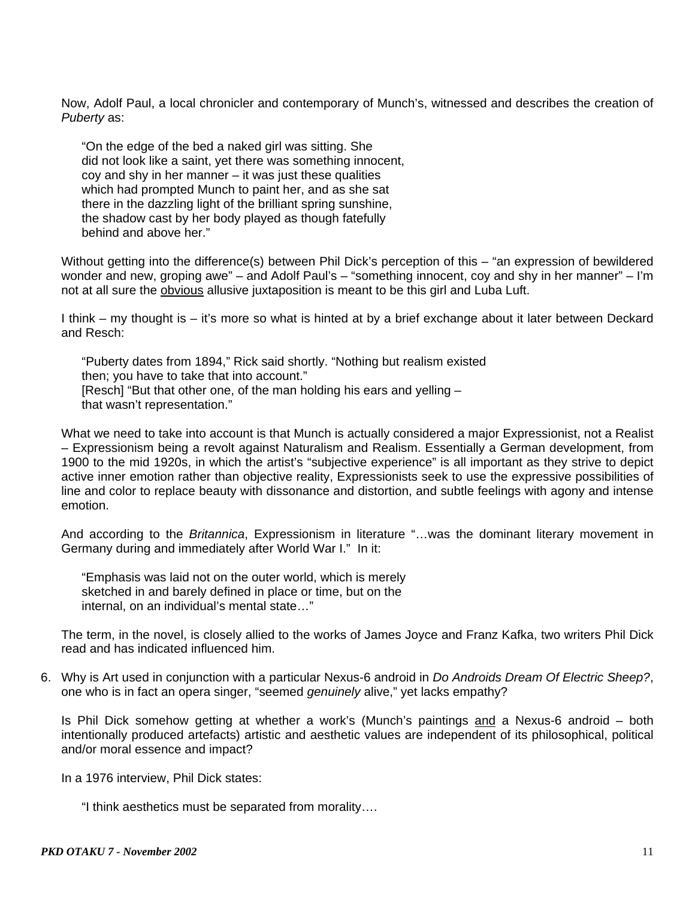Now, Adolf Paul, a local chronicler and contemporary of Munch's, witnessed and describes the creation of *Puberty* as:

 "On the edge of the bed a naked girl was sitting. She did not look like a saint, yet there was something innocent, coy and shy in her manner – it was just these qualities which had prompted Munch to paint her, and as she sat there in the dazzling light of the brilliant spring sunshine, the shadow cast by her body played as though fatefully behind and above her."

 Without getting into the difference(s) between Phil Dick's perception of this – "an expression of bewildered wonder and new, groping awe" – and Adolf Paul's – "something innocent, coy and shy in her manner" – I'm not at all sure the obvious allusive juxtaposition is meant to be this girl and Luba Luft.

 I think – my thought is – it's more so what is hinted at by a brief exchange about it later between Deckard and Resch:

 "Puberty dates from 1894," Rick said shortly. "Nothing but realism existed then; you have to take that into account." [Resch] "But that other one, of the man holding his ears and yelling – that wasn't representation."

 What we need to take into account is that Munch is actually considered a major Expressionist, not a Realist – Expressionism being a revolt against Naturalism and Realism. Essentially a German development, from 1900 to the mid 1920s, in which the artist's "subjective experience" is all important as they strive to depict active inner emotion rather than objective reality, Expressionists seek to use the expressive possibilities of line and color to replace beauty with dissonance and distortion, and subtle feelings with agony and intense emotion.

 And according to the *Britannica*, Expressionism in literature "…was the dominant literary movement in Germany during and immediately after World War I." In it:

 "Emphasis was laid not on the outer world, which is merely sketched in and barely defined in place or time, but on the internal, on an individual's mental state…"

 The term, in the novel, is closely allied to the works of James Joyce and Franz Kafka, two writers Phil Dick read and has indicated influenced him.

6. Why is Art used in conjunction with a particular Nexus-6 android in *Do Androids Dream Of Electric Sheep?*, one who is in fact an opera singer, "seemed *genuinely* alive," yet lacks empathy?

Is Phil Dick somehow getting at whether a work's (Munch's paintings and a Nexus-6 android – both intentionally produced artefacts) artistic and aesthetic values are independent of its philosophical, political and/or moral essence and impact?

In a 1976 interview, Phil Dick states:

"I think aesthetics must be separated from morality….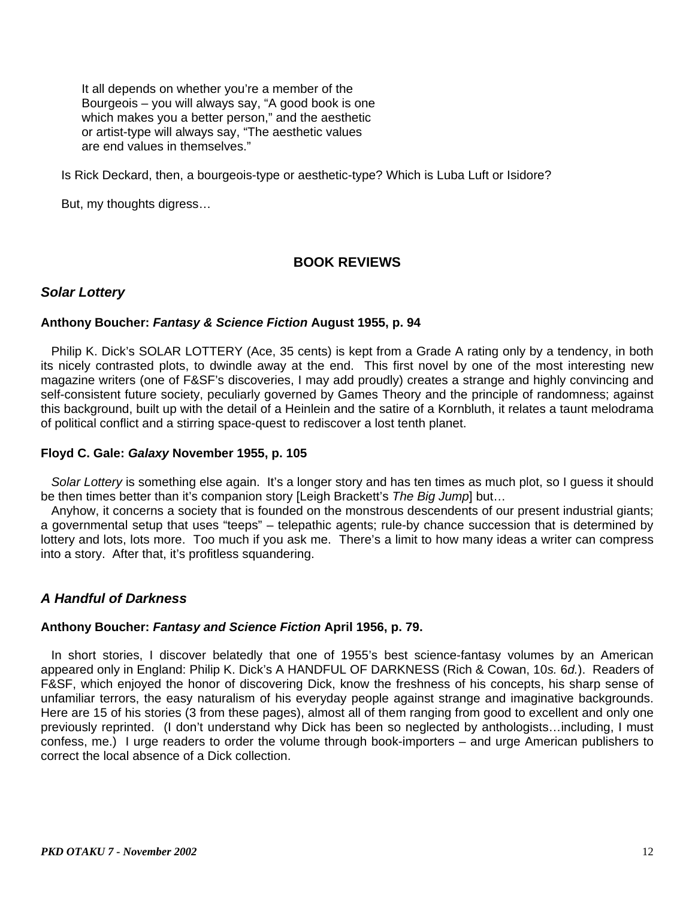It all depends on whether you're a member of the Bourgeois – you will always say, "A good book is one which makes you a better person," and the aesthetic or artist-type will always say, "The aesthetic values are end values in themselves."

Is Rick Deckard, then, a bourgeois-type or aesthetic-type? Which is Luba Luft or Isidore?

But, my thoughts digress…

# **BOOK REVIEWS**

## *Solar Lottery*

### **Anthony Boucher:** *Fantasy & Science Fiction* **August 1955, p. 94**

Philip K. Dick's SOLAR LOTTERY (Ace, 35 cents) is kept from a Grade A rating only by a tendency, in both its nicely contrasted plots, to dwindle away at the end. This first novel by one of the most interesting new magazine writers (one of F&SF's discoveries, I may add proudly) creates a strange and highly convincing and self-consistent future society, peculiarly governed by Games Theory and the principle of randomness; against this background, built up with the detail of a Heinlein and the satire of a Kornbluth, it relates a taunt melodrama of political conflict and a stirring space-quest to rediscover a lost tenth planet.

### **Floyd C. Gale:** *Galaxy* **November 1955, p. 105**

 *Solar Lottery* is something else again. It's a longer story and has ten times as much plot, so I guess it should be then times better than it's companion story [Leigh Brackett's *The Big Jump*] but…

 Anyhow, it concerns a society that is founded on the monstrous descendents of our present industrial giants; a governmental setup that uses "teeps" – telepathic agents; rule-by chance succession that is determined by lottery and lots, lots more. Too much if you ask me. There's a limit to how many ideas a writer can compress into a story. After that, it's profitless squandering.

## *A Handful of Darkness*

### **Anthony Boucher:** *Fantasy and Science Fiction* **April 1956, p. 79.**

 In short stories, I discover belatedly that one of 1955's best science-fantasy volumes by an American appeared only in England: Philip K. Dick's A HANDFUL OF DARKNESS (Rich & Cowan, 10*s.* 6*d.*). Readers of F&SF, which enjoyed the honor of discovering Dick, know the freshness of his concepts, his sharp sense of unfamiliar terrors, the easy naturalism of his everyday people against strange and imaginative backgrounds. Here are 15 of his stories (3 from these pages), almost all of them ranging from good to excellent and only one previously reprinted. (I don't understand why Dick has been so neglected by anthologists…including, I must confess, me.) I urge readers to order the volume through book-importers – and urge American publishers to correct the local absence of a Dick collection.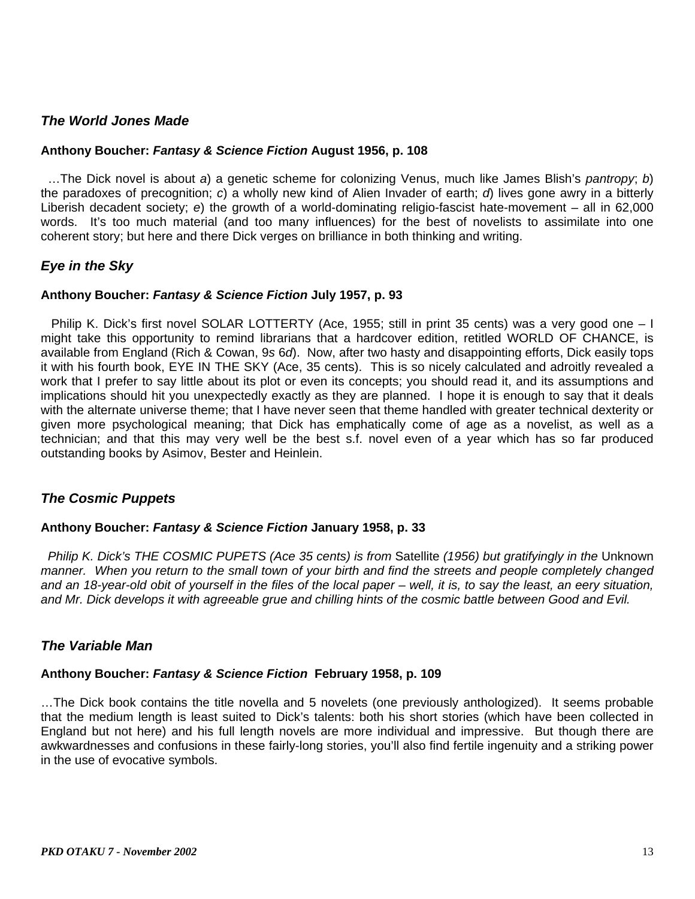## *The World Jones Made*

### **Anthony Boucher:** *Fantasy & Science Fiction* **August 1956, p. 108**

 …The Dick novel is about *a*) a genetic scheme for colonizing Venus, much like James Blish's *pantropy*; *b*) the paradoxes of precognition; *c*) a wholly new kind of Alien Invader of earth; *d*) lives gone awry in a bitterly Liberish decadent society; *e*) the growth of a world-dominating religio-fascist hate-movement – all in 62,000 words. It's too much material (and too many influences) for the best of novelists to assimilate into one coherent story; but here and there Dick verges on brilliance in both thinking and writing.

## *Eye in the Sky*

### **Anthony Boucher:** *Fantasy & Science Fiction* **July 1957, p. 93**

 Philip K. Dick's first novel SOLAR LOTTERTY (Ace, 1955; still in print 35 cents) was a very good one – I might take this opportunity to remind librarians that a hardcover edition, retitled WORLD OF CHANCE, is available from England (Rich & Cowan, 9*s* 6*d*). Now, after two hasty and disappointing efforts, Dick easily tops it with his fourth book, EYE IN THE SKY (Ace, 35 cents). This is so nicely calculated and adroitly revealed a work that I prefer to say little about its plot or even its concepts; you should read it, and its assumptions and implications should hit you unexpectedly exactly as they are planned. I hope it is enough to say that it deals with the alternate universe theme; that I have never seen that theme handled with greater technical dexterity or given more psychological meaning; that Dick has emphatically come of age as a novelist, as well as a technician; and that this may very well be the best s.f. novel even of a year which has so far produced outstanding books by Asimov, Bester and Heinlein.

## *The Cosmic Puppets*

### **Anthony Boucher:** *Fantasy & Science Fiction* **January 1958, p. 33**

 *Philip K. Dick's THE COSMIC PUPETS (Ace 35 cents) is from* Satellite *(1956) but gratifyingly in the* Unknown *manner. When you return to the small town of your birth and find the streets and people completely changed and an 18-year-old obit of yourself in the files of the local paper – well, it is, to say the least, an eery situation, and Mr. Dick develops it with agreeable grue and chilling hints of the cosmic battle between Good and Evil.*

## *The Variable Man*

### **Anthony Boucher:** *Fantasy & Science Fiction* **February 1958, p. 109**

…The Dick book contains the title novella and 5 novelets (one previously anthologized). It seems probable that the medium length is least suited to Dick's talents: both his short stories (which have been collected in England but not here) and his full length novels are more individual and impressive. But though there are awkwardnesses and confusions in these fairly-long stories, you'll also find fertile ingenuity and a striking power in the use of evocative symbols.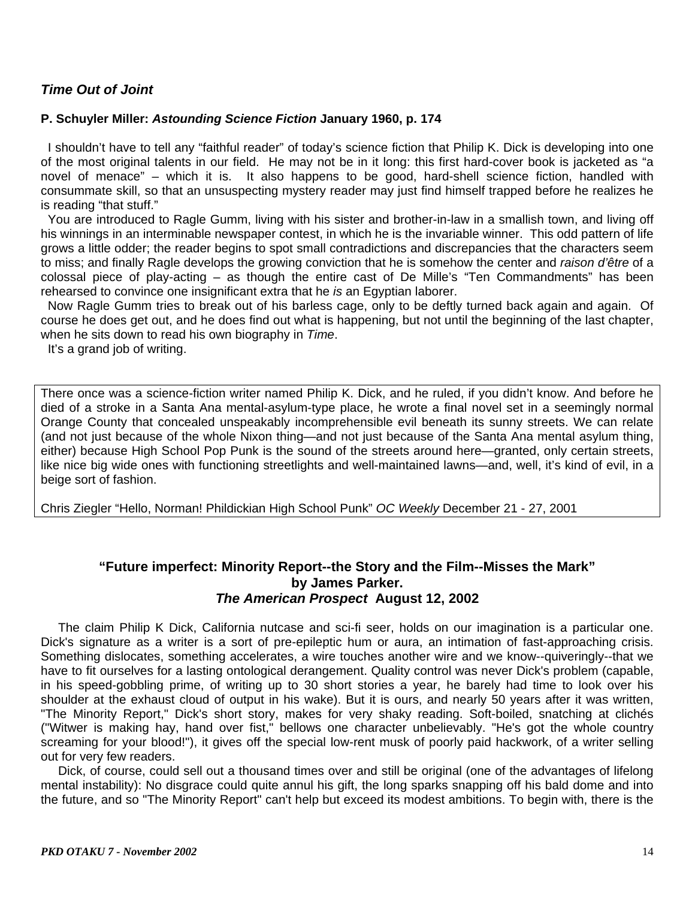# *Time Out of Joint*

### **P. Schuyler Miller:** *Astounding Science Fiction* **January 1960, p. 174**

 I shouldn't have to tell any "faithful reader" of today's science fiction that Philip K. Dick is developing into one of the most original talents in our field. He may not be in it long: this first hard-cover book is jacketed as "a novel of menace" – which it is. It also happens to be good, hard-shell science fiction, handled with consummate skill, so that an unsuspecting mystery reader may just find himself trapped before he realizes he is reading "that stuff."

 You are introduced to Ragle Gumm, living with his sister and brother-in-law in a smallish town, and living off his winnings in an interminable newspaper contest, in which he is the invariable winner. This odd pattern of life grows a little odder; the reader begins to spot small contradictions and discrepancies that the characters seem to miss; and finally Ragle develops the growing conviction that he is somehow the center and *raison d'être* of a colossal piece of play-acting – as though the entire cast of De Mille's "Ten Commandments" has been rehearsed to convince one insignificant extra that he *is* an Egyptian laborer.

Now Ragle Gumm tries to break out of his barless cage, only to be deftly turned back again and again. Of course he does get out, and he does find out what is happening, but not until the beginning of the last chapter, when he sits down to read his own biography in *Time*.

It's a grand job of writing.

There once was a science-fiction writer named Philip K. Dick, and he ruled, if you didn't know. And before he died of a stroke in a Santa Ana mental-asylum-type place, he wrote a final novel set in a seemingly normal Orange County that concealed unspeakably incomprehensible evil beneath its sunny streets. We can relate (and not just because of the whole Nixon thing—and not just because of the Santa Ana mental asylum thing, either) because High School Pop Punk is the sound of the streets around here—granted, only certain streets, like nice big wide ones with functioning streetlights and well-maintained lawns—and, well, it's kind of evil, in a beige sort of fashion.

Chris Ziegler "Hello, Norman! Phildickian High School Punk" *OC Weekly* December 21 - 27, 2001

## **"Future imperfect: Minority Report--the Story and the Film--Misses the Mark" by James Parker.**  *The American Prospect* **August 12, 2002**

 The claim Philip K Dick, California nutcase and sci-fi seer, holds on our imagination is a particular one. Dick's signature as a writer is a sort of pre-epileptic hum or aura, an intimation of fast-approaching crisis. Something dislocates, something accelerates, a wire touches another wire and we know--quiveringly--that we have to fit ourselves for a lasting ontological derangement. Quality control was never Dick's problem (capable, in his speed-gobbling prime, of writing up to 30 short stories a year, he barely had time to look over his shoulder at the exhaust cloud of output in his wake). But it is ours, and nearly 50 years after it was written, "The Minority Report," Dick's short story, makes for very shaky reading. Soft-boiled, snatching at clichés ("Witwer is making hay, hand over fist," bellows one character unbelievably. "He's got the whole country screaming for your blood!"), it gives off the special low-rent musk of poorly paid hackwork, of a writer selling out for very few readers.

 Dick, of course, could sell out a thousand times over and still be original (one of the advantages of lifelong mental instability): No disgrace could quite annul his gift, the long sparks snapping off his bald dome and into the future, and so "The Minority Report" can't help but exceed its modest ambitions. To begin with, there is the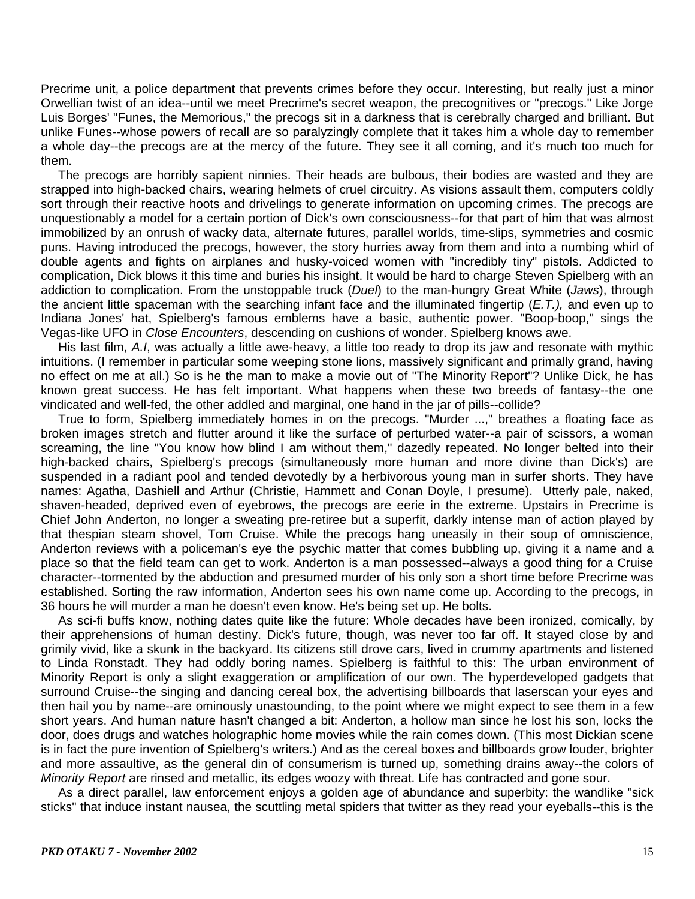Precrime unit, a police department that prevents crimes before they occur. Interesting, but really just a minor Orwellian twist of an idea--until we meet Precrime's secret weapon, the precognitives or "precogs." Like Jorge Luis Borges' "Funes, the Memorious," the precogs sit in a darkness that is cerebrally charged and brilliant. But unlike Funes--whose powers of recall are so paralyzingly complete that it takes him a whole day to remember a whole day--the precogs are at the mercy of the future. They see it all coming, and it's much too much for them.

 The precogs are horribly sapient ninnies. Their heads are bulbous, their bodies are wasted and they are strapped into high-backed chairs, wearing helmets of cruel circuitry. As visions assault them, computers coldly sort through their reactive hoots and drivelings to generate information on upcoming crimes. The precogs are unquestionably a model for a certain portion of Dick's own consciousness--for that part of him that was almost immobilized by an onrush of wacky data, alternate futures, parallel worlds, time-slips, symmetries and cosmic puns. Having introduced the precogs, however, the story hurries away from them and into a numbing whirl of double agents and fights on airplanes and husky-voiced women with "incredibly tiny" pistols. Addicted to complication, Dick blows it this time and buries his insight. It would be hard to charge Steven Spielberg with an addiction to complication. From the unstoppable truck (*Duel*) to the man-hungry Great White (*Jaws*), through the ancient little spaceman with the searching infant face and the illuminated fingertip (*E.T.),* and even up to Indiana Jones' hat, Spielberg's famous emblems have a basic, authentic power. "Boop-boop," sings the Vegas-like UFO in *Close Encounters*, descending on cushions of wonder. Spielberg knows awe.

 His last film, *A.I*, was actually a little awe-heavy, a little too ready to drop its jaw and resonate with mythic intuitions. (I remember in particular some weeping stone lions, massively significant and primally grand, having no effect on me at all.) So is he the man to make a movie out of "The Minority Report"? Unlike Dick, he has known great success. He has felt important. What happens when these two breeds of fantasy--the one vindicated and well-fed, the other addled and marginal, one hand in the jar of pills--collide?

 True to form, Spielberg immediately homes in on the precogs. "Murder ...," breathes a floating face as broken images stretch and flutter around it like the surface of perturbed water--a pair of scissors, a woman screaming, the line "You know how blind I am without them," dazedly repeated. No longer belted into their high-backed chairs, Spielberg's precogs (simultaneously more human and more divine than Dick's) are suspended in a radiant pool and tended devotedly by a herbivorous young man in surfer shorts. They have names: Agatha, Dashiell and Arthur (Christie, Hammett and Conan Doyle, I presume). Utterly pale, naked, shaven-headed, deprived even of eyebrows, the precogs are eerie in the extreme. Upstairs in Precrime is Chief John Anderton, no longer a sweating pre-retiree but a superfit, darkly intense man of action played by that thespian steam shovel, Tom Cruise. While the precogs hang uneasily in their soup of omniscience, Anderton reviews with a policeman's eye the psychic matter that comes bubbling up, giving it a name and a place so that the field team can get to work. Anderton is a man possessed--always a good thing for a Cruise character--tormented by the abduction and presumed murder of his only son a short time before Precrime was established. Sorting the raw information, Anderton sees his own name come up. According to the precogs, in 36 hours he will murder a man he doesn't even know. He's being set up. He bolts.

 As sci-fi buffs know, nothing dates quite like the future: Whole decades have been ironized, comically, by their apprehensions of human destiny. Dick's future, though, was never too far off. It stayed close by and grimily vivid, like a skunk in the backyard. Its citizens still drove cars, lived in crummy apartments and listened to Linda Ronstadt. They had oddly boring names. Spielberg is faithful to this: The urban environment of Minority Report is only a slight exaggeration or amplification of our own. The hyperdeveloped gadgets that surround Cruise--the singing and dancing cereal box, the advertising billboards that laserscan your eyes and then hail you by name--are ominously unastounding, to the point where we might expect to see them in a few short years. And human nature hasn't changed a bit: Anderton, a hollow man since he lost his son, locks the door, does drugs and watches holographic home movies while the rain comes down. (This most Dickian scene is in fact the pure invention of Spielberg's writers.) And as the cereal boxes and billboards grow louder, brighter and more assaultive, as the general din of consumerism is turned up, something drains away--the colors of *Minority Report* are rinsed and metallic, its edges woozy with threat. Life has contracted and gone sour.

 As a direct parallel, law enforcement enjoys a golden age of abundance and superbity: the wandlike "sick sticks" that induce instant nausea, the scuttling metal spiders that twitter as they read your eyeballs--this is the